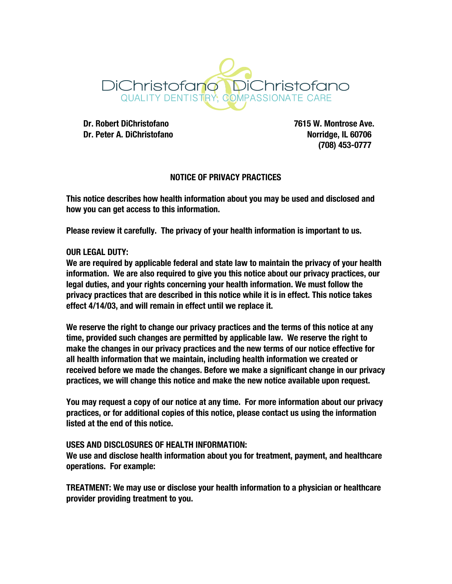

 **Dr. Robert DiChristofano 7615 W. Montrose Ave. Dr. Peter A. DiChristofano Norridge, IL 60706** 

 **(708) 453-0777**

## **NOTICE OF PRIVACY PRACTICES**

**This notice describes how health information about you may be used and disclosed and how you can get access to this information.** 

**Please review it carefully. The privacy of your health information is important to us.**

## **OUR LEGAL DUTY:**

**We are required by applicable federal and state law to maintain the privacy of your health information. We are also required to give you this notice about our privacy practices, our legal duties, and your rights concerning your health information. We must follow the privacy practices that are described in this notice while it is in effect. This notice takes effect 4/14/03, and will remain in effect until we replace it.**

**We reserve the right to change our privacy practices and the terms of this notice at any time, provided such changes are permitted by applicable law. We reserve the right to make the changes in our privacy practices and the new terms of our notice effective for all health information that we maintain, including health information we created or received before we made the changes. Before we make a significant change in our privacy practices, we will change this notice and make the new notice available upon request.**

**You may request a copy of our notice at any time. For more information about our privacy practices, or for additional copies of this notice, please contact us using the information listed at the end of this notice.**

## **USES AND DISCLOSURES OF HEALTH INFORMATION:**

**We use and disclose health information about you for treatment, payment, and healthcare operations. For example:**

**TREATMENT: We may use or disclose your health information to a physician or healthcare provider providing treatment to you.**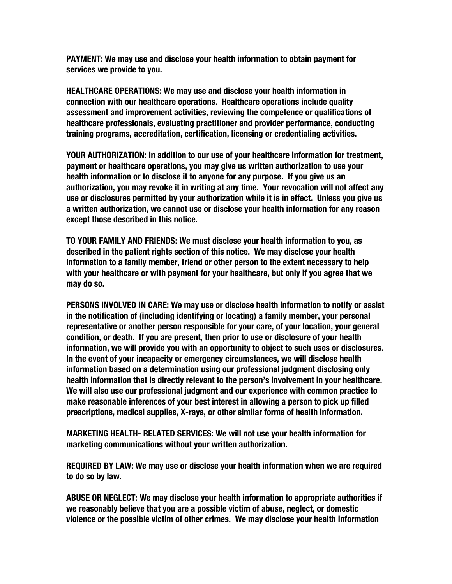**PAYMENT: We may use and disclose your health information to obtain payment for services we provide to you.**

**HEALTHCARE OPERATIONS: We may use and disclose your health information in connection with our healthcare operations. Healthcare operations include quality assessment and improvement activities, reviewing the competence or qualifications of healthcare professionals, evaluating practitioner and provider performance, conducting training programs, accreditation, certification, licensing or credentialing activities.**

**YOUR AUTHORIZATION: In addition to our use of your healthcare information for treatment, payment or healthcare operations, you may give us written authorization to use your health information or to disclose it to anyone for any purpose. If you give us an authorization, you may revoke it in writing at any time. Your revocation will not affect any use or disclosures permitted by your authorization while it is in effect. Unless you give us a written authorization, we cannot use or disclose your health information for any reason except those described in this notice.**

**TO YOUR FAMILY AND FRIENDS: We must disclose your health information to you, as described in the patient rights section of this notice. We may disclose your health information to a family member, friend or other person to the extent necessary to help with your healthcare or with payment for your healthcare, but only if you agree that we may do so.**

**PERSONS INVOLVED IN CARE: We may use or disclose health information to notify or assist in the notification of (including identifying or locating) a family member, your personal representative or another person responsible for your care, of your location, your general condition, or death. If you are present, then prior to use or disclosure of your health information, we will provide you with an opportunity to object to such uses or disclosures. In the event of your incapacity or emergency circumstances, we will disclose health information based on a determination using our professional judgment disclosing only health information that is directly relevant to the person's involvement in your healthcare. We will also use our professional judgment and our experience with common practice to make reasonable inferences of your best interest in allowing a person to pick up filled prescriptions, medical supplies, X-rays, or other similar forms of health information.**

**MARKETING HEALTH- RELATED SERVICES: We will not use your health information for marketing communications without your written authorization.**

**REQUIRED BY LAW: We may use or disclose your health information when we are required to do so by law.**

**ABUSE OR NEGLECT: We may disclose your health information to appropriate authorities if we reasonably believe that you are a possible victim of abuse, neglect, or domestic violence or the possible victim of other crimes. We may disclose your health information**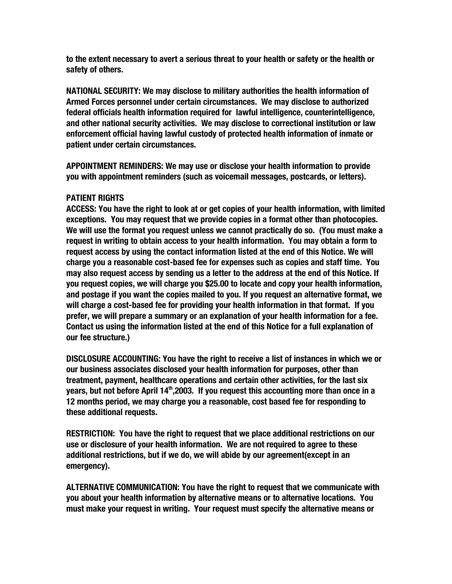**to the extent necessary to avert a serious threat to your health or safety or the health or safety of others.**

**NATIONAL SECURITY: We may disclose to military authorities the health information of Armed Forces personnel under certain circumstances. We may disclose to authorized federal officials health information required for lawful intelligence, counterintelligence, and other national security activities. We may disclose to correctional institution or law enforcement official having lawful custody of protected health information of inmate or patient under certain circumstances.**

**APPOINTMENT REMINDERS: We may use or disclose your health information to provide you with appointment reminders (such as voicemail messages, postcards, or letters).**

## **PATIENT RIGHTS**

**ACCESS: You have the right to look at or get copies of your health information, with limited exceptions. You may request that we provide copies in a format other than photocopies. We will use the format you request unless we cannot practically do so. (You must make a request in writing to obtain access to your health information. You may obtain a form to request access by using the contact information listed at the end of this Notice. We will charge you a reasonable cost-based fee for expenses such as copies and staff time. You may also request access by sending us a letter to the address at the end of this Notice. If you request copies, we will charge you \$25.00 to locate and copy your health information, and postage if you want the copies mailed to you. If you request an alternative format, we will charge a cost-based fee for providing your health information in that format. If you prefer, we will prepare a summary or an explanation of your health information for a fee. Contact us using the information listed at the end of this Notice for a full explanation of our fee structure.)** 

**DISCLOSURE ACCOUNTING: You have the right to receive a list of instances in which we or our business associates disclosed your health information for purposes, other than treatment, payment, healthcare operations and certain other activities, for the last six**  years, but not before April 14<sup>th</sup>,2003. If you request this accounting more than once in a **12 months period, we may charge you a reasonable, cost based fee for responding to these additional requests.**

**RESTRICTION: You have the right to request that we place additional restrictions on our use or disclosure of your health information. We are not required to agree to these additional restrictions, but if we do, we will abide by our agreement(except in an emergency).**

**ALTERNATIVE COMMUNICATION: You have the right to request that we communicate with you about your health information by alternative means or to alternative locations. You must make your request in writing. Your request must specify the alternative means or**